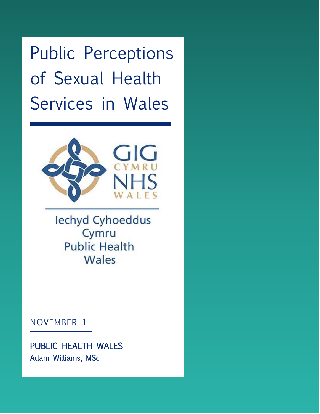Public Perceptions of Sexual Health Services in Wales



lechyd Cyhoeddus Cymru **Public Health** Wales

## NOVEMBER 1

PUBLIC HEALTH WALES Adam Williams, MSc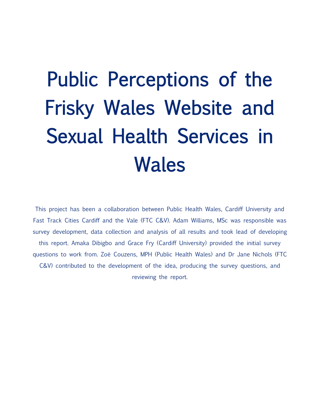# Public Perceptions of the Frisky Wales Website and Sexual Health Services in Wales

This project has been a collaboration between Public Health Wales, Cardiff University and Fast Track Cities Cardiff and the Vale (FTC C&V). Adam Williams, MSc was responsible was survey development, data collection and analysis of all results and took lead of developing this report. Amaka Dibigbo and Grace Fry (Cardiff University) provided the initial survey questions to work from. Zoë Couzens, MPH (Public Health Wales) and Dr Jane Nichols (FTC C&V) contributed to the development of the idea, producing the survey questions, and reviewing the report.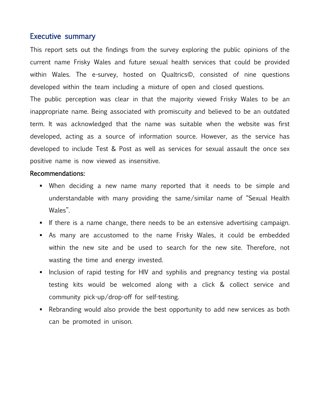#### Executive summary

This report sets out the findings from the survey exploring the public opinions of the current name Frisky Wales and future sexual health services that could be provided within Wales. The e-survey, hosted on Qualtrics©, consisted of nine questions developed within the team including a mixture of open and closed questions.

The public perception was clear in that the majority viewed Frisky Wales to be an inappropriate name. Being associated with promiscuity and believed to be an outdated term. It was acknowledged that the name was suitable when the website was first developed, acting as a source of information source. However, as the service has developed to include Test & Post as well as services for sexual assault the once sex positive name is now viewed as insensitive.

#### Recommendations:

- When deciding a new name many reported that it needs to be simple and understandable with many providing the same/similar name of "Sexual Health Wales".
- **•** If there is a name change, there needs to be an extensive advertising campaign.
- As many are accustomed to the name Frisky Wales, it could be embedded within the new site and be used to search for the new site. Therefore, not wasting the time and energy invested.
- **EXT** Inclusion of rapid testing for HIV and syphilis and pregnancy testing via postal testing kits would be welcomed along with a click & collect service and community pick-up/drop-off for self-testing.
- Rebranding would also provide the best opportunity to add new services as both can be promoted in unison.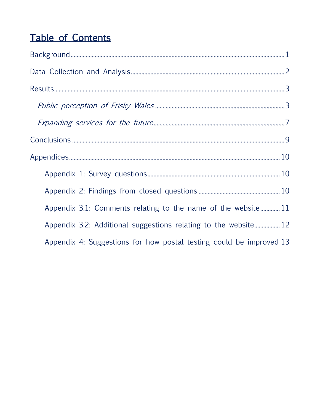# Table of Contents

| Appendix 3.1: Comments relating to the name of the website11        |
|---------------------------------------------------------------------|
| Appendix 3.2: Additional suggestions relating to the website 12     |
| Appendix 4: Suggestions for how postal testing could be improved 13 |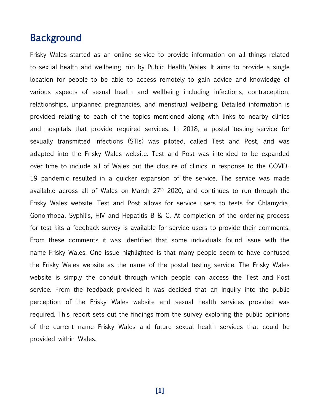## <span id="page-4-0"></span>Background

Frisky Wales started as an online service to provide information on all things related to sexual health and wellbeing, run by Public Health Wales. It aims to provide a single location for people to be able to access remotely to gain advice and knowledge of various aspects of sexual health and wellbeing including infections, contraception, relationships, unplanned pregnancies, and menstrual wellbeing. Detailed information is provided relating to each of the topics mentioned along with links to nearby clinics and hospitals that provide required services. In 2018, a postal testing service for sexually transmitted infections (STIs) was piloted, called Test and Post, and was adapted into the Frisky Wales website. Test and Post was intended to be expanded over time to include all of Wales but the closure of clinics in response to the COVID-19 pandemic resulted in a quicker expansion of the service. The service was made available across all of Wales on March 27<sup>th</sup> 2020, and continues to run through the Frisky Wales website. Test and Post allows for service users to tests for Chlamydia, Gonorrhoea, Syphilis, HIV and Hepatitis B & C. At completion of the ordering process for test kits a feedback survey is available for service users to provide their comments. From these comments it was identified that some individuals found issue with the name Frisky Wales. One issue highlighted is that many people seem to have confused the Frisky Wales website as the name of the postal testing service. The Frisky Wales website is simply the conduit through which people can access the Test and Post service. From the feedback provided it was decided that an inquiry into the public perception of the Frisky Wales website and sexual health services provided was required. This report sets out the findings from the survey exploring the public opinions of the current name Frisky Wales and future sexual health services that could be provided within Wales.

**[1]**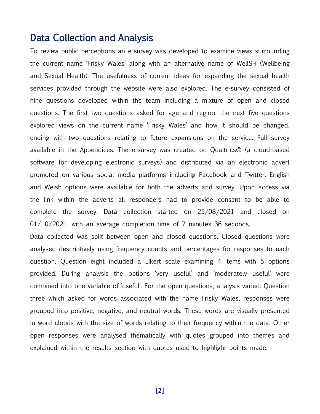## <span id="page-5-0"></span>Data Collection and Analysis

To review public perceptions an e-survey was developed to examine views surrounding the current name 'Frisky Wales' along with an alternative name of WellSH (Wellbeing and Sexual Health). The usefulness of current ideas for expanding the sexual health services provided through the website were also explored. The e-survey consisted of nine questions developed within the team including a mixture of open and closed questions. The first two questions asked for age and region, the next five questions explored views on the current name 'Frisky Wales' and how it should be changed, ending with two questions relating to future expansions on the service. Full survey available in the Appendices. The e-survey was created on Qualtrics© (a cloud-based software for developing electronic surveys) and distributed via an electronic advert promoted on various social media platforms including Facebook and Twitter. English and Welsh options were available for both the adverts and survey. Upon access via the link within the adverts all responders had to provide consent to be able to complete the survey. Data collection started on 25/08/2021 and closed on 01/10/2021, with an average completion time of 7 minutes 36 seconds.

Data collected was split between open and closed questions. Closed questions were analysed descriptively using frequency counts and percentages for responses to each question. Question eight included a Likert scale examining 4 items with 5 options provided. During analysis the options 'very useful' and 'moderately useful' were combined into one variable of 'useful'. For the open questions, analysis varied. Question three which asked for words associated with the name Frisky Wales, responses were grouped into positive, negative, and neutral words. These words are visually presented in word clouds with the size of words relating to their frequency within the data. Other open responses were analysed thematically with quotes grouped into themes and explained within the results section with quotes used to highlight points made.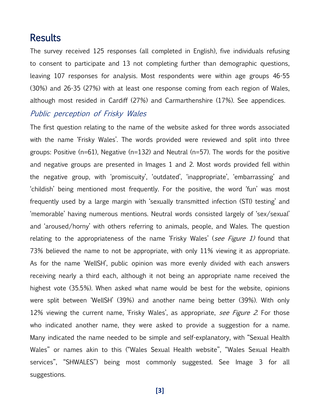### <span id="page-6-0"></span>Results

The survey received 125 responses (all completed in English), five individuals refusing to consent to participate and 13 not completing further than demographic questions, leaving 107 responses for analysis. Most respondents were within age groups 46-55 (30%) and 26-35 (27%) with at least one response coming from each region of Wales, although most resided in Cardiff (27%) and Carmarthenshire (17%). See appendices.

#### <span id="page-6-1"></span>Public perception of Frisky Wales

The first question relating to the name of the website asked for three words associated with the name 'Frisky Wales'. The words provided were reviewed and split into three groups: Positive (n=61), Negative (n=132) and Neutral (n=57). The words for the positive and negative groups are presented in Images 1 and 2. Most words provided fell within the negative group, with 'promiscuity', 'outdated', 'inappropriate', 'embarrassing' and 'childish' being mentioned most frequently. For the positive, the word 'fun' was most frequently used by a large margin with 'sexually transmitted infection (STI) testing' and 'memorable' having numerous mentions. Neutral words consisted largely of 'sex/sexual' and 'aroused/horny' with others referring to animals, people, and Wales. The question relating to the appropriateness of the name 'Frisky Wales' (see Figure 1) found that 73% believed the name to not be appropriate, with only 11% viewing it as appropriate. As for the name 'WellSH', public opinion was more evenly divided with each answers receiving nearly a third each, although it not being an appropriate name received the highest vote (35.5%). When asked what name would be best for the website, opinions were split between 'WellSH' (39%) and another name being better (39%). With only 12% viewing the current name, 'Frisky Wales', as appropriate, see Figure 2. For those who indicated another name, they were asked to provide a suggestion for a name. Many indicated the name needed to be simple and self-explanatory, with "Sexual Health Wales" or names akin to this ("Wales Sexual Health website", "Wales Sexual Health services", "SHWALES") being most commonly suggested. See Image 3 for all suggestions.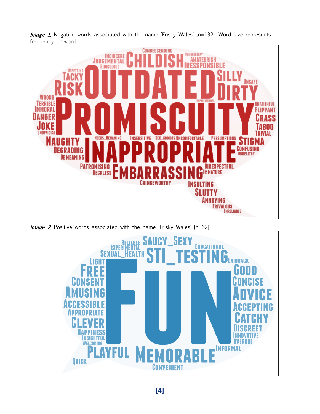

*Image 1*. Negative words associated with the name 'Frisky Wales'  $[n=132]$ . Word size represents frequency or word.

**Image 2.** Positive words associated with the name 'Frisky Wales' [n=62].

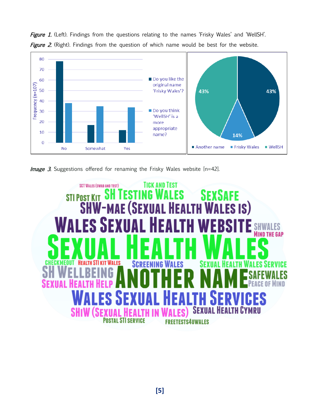

Figure 1. (Left). Findings from the questions relating to the names 'Frisky Wales' and 'WellSH'. Figure 2. (Right). Findings from the question of which name would be best for the website.

**Image 3.** Suggestions offered for renaming the Frisky Wales website [n=42].

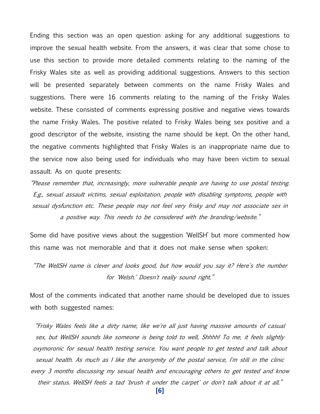Ending this section was an open question asking for any additional suggestions to improve the sexual health website. From the answers, it was clear that some chose to use this section to provide more detailed comments relating to the naming of the Frisky Wales site as well as providing additional suggestions. Answers to this section will be presented separately between comments on the name Frisky Wales and suggestions. There were 16 comments relating to the naming of the Frisky Wales website. These consisted of comments expressing positive and negative views towards the name Frisky Wales. The positive related to Frisky Wales being sex positive and a good descriptor of the website, insisting the name should be kept. On the other hand, the negative comments highlighted that Frisky Wales is an inappropriate name due to the service now also being used for individuals who may have been victim to sexual assault. As on quote presents:

"Please remember that, increasingly, more vulnerable people are having to use postal testing. E.g., sexual assault victims, sexual exploitation, people with disabling symptoms, people with sexual dysfunction etc. These people may not feel very frisky and may not associate sex in a positive way. This needs to be considered with the branding/website."

Some did have positive views about the suggestion 'WellSH' but more commented how this name was not memorable and that it does not make sense when spoken:

"The WellSH name is clever and looks good, but how would you say it? Here's the number for 'Welsh.' Doesn't really sound right."

Most of the comments indicated that another name should be developed due to issues with both suggested names:

"Frisky Wales feels like a dirty name, like we're all just having massive amounts of casual sex, but WellSH sounds like someone is being told to well, Shhhh! To me, it feels slightly oxymoronic for sexual health testing service. You want people to get tested and talk about sexual health. As much as I like the anonymity of the postal service, I'm still in the clinic every 3 months discussing my sexual health and encouraging others to get tested and know their status. WellSH feels a tad 'brush it under the carpet' or don't talk about it at all."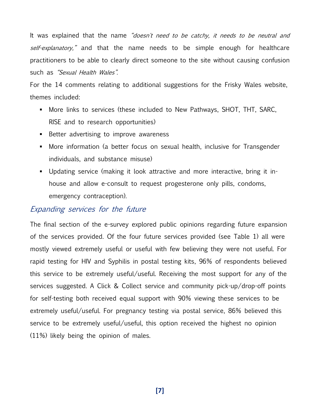It was explained that the name "doesn't need to be catchy, it needs to be neutral and self-explanatory," and that the name needs to be simple enough for healthcare practitioners to be able to clearly direct someone to the site without causing confusion such as "Sexual Health Wales".

For the 14 comments relating to additional suggestions for the Frisky Wales website, themes included:

- More links to services (these included to New Pathways, SHOT, THT, SARC, RISE and to research opportunities)
- Better advertising to improve awareness
- More information (a better focus on sexual health, inclusive for Transgender individuals, and substance misuse)
- Updating service (making it look attractive and more interactive, bring it inhouse and allow e-consult to request progesterone only pills, condoms, emergency contraception).

#### <span id="page-10-0"></span>Expanding services for the future

The final section of the e-survey explored public opinions regarding future expansion of the services provided. Of the four future services provided (see Table 1) all were mostly viewed extremely useful or useful with few believing they were not useful. For rapid testing for HIV and Syphilis in postal testing kits, 96% of respondents believed this service to be extremely useful/useful. Receiving the most support for any of the services suggested. A Click & Collect service and community pick-up/drop-off points for self-testing both received equal support with 90% viewing these services to be extremely useful/useful. For pregnancy testing via postal service, 86% believed this service to be extremely useful/useful, this option received the highest no opinion (11%) likely being the opinion of males.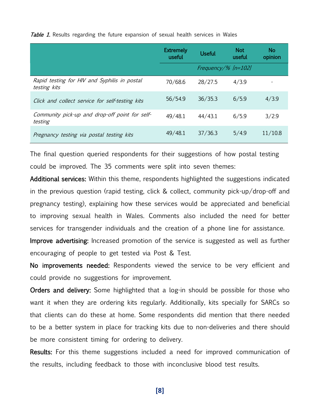|                                                              | <b>Extremely</b><br>useful | Useful                | <b>Not</b><br>useful | <b>No</b><br>opinion |
|--------------------------------------------------------------|----------------------------|-----------------------|----------------------|----------------------|
|                                                              |                            | Frequency/% $[n=102]$ |                      |                      |
| Rapid testing for HIV and Syphilis in postal<br>testing kits | 70/68.6                    | 28/27.5               | 4/3.9                |                      |
| Click and collect service for self-testing kits              | 56/54.9                    | 36/35.3               | 6/5.9                | 4/3.9                |
| Community pick-up and drop-off point for self-<br>testing    | 49/48.1                    | 44/43.1               | 6/5.9                | 3/2.9                |
| Pregnancy testing via postal testing kits                    | 49/48.1                    | 37/36.3               | 5/4.9                | 11/10.8              |

Table 1. Results regarding the future expansion of sexual health services in Wales

The final question queried respondents for their suggestions of how postal testing could be improved. The 35 comments were split into seven themes:

Additional services: Within this theme, respondents highlighted the suggestions indicated in the previous question (rapid testing, click & collect, community pick-up/drop-off and pregnancy testing), explaining how these services would be appreciated and beneficial to improving sexual health in Wales. Comments also included the need for better services for transgender individuals and the creation of a phone line for assistance.

Improve advertising: Increased promotion of the service is suggested as well as further encouraging of people to get tested via Post & Test.

No improvements needed: Respondents viewed the service to be very efficient and could provide no suggestions for improvement.

Orders and delivery: Some highlighted that a log-in should be possible for those who want it when they are ordering kits regularly. Additionally, kits specially for SARCs so that clients can do these at home. Some respondents did mention that there needed to be a better system in place for tracking kits due to non-deliveries and there should be more consistent timing for ordering to delivery.

Results: For this theme suggestions included a need for improved communication of the results, including feedback to those with inconclusive blood test results.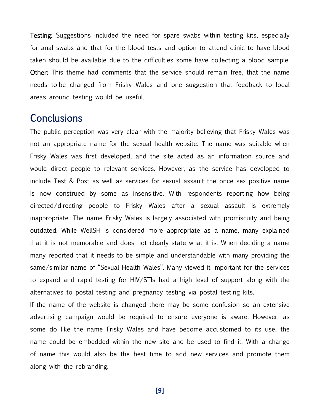**Testing:** Suggestions included the need for spare swabs within testing kits, especially for anal swabs and that for the blood tests and option to attend clinic to have blood taken should be available due to the difficulties some have collecting a blood sample. Other: This theme had comments that the service should remain free, that the name needs to be changed from Frisky Wales and one suggestion that feedback to local areas around testing would be useful.

## <span id="page-12-0"></span>**Conclusions**

The public perception was very clear with the majority believing that Frisky Wales was not an appropriate name for the sexual health website. The name was suitable when Frisky Wales was first developed, and the site acted as an information source and would direct people to relevant services. However, as the service has developed to include Test & Post as well as services for sexual assault the once sex positive name is now construed by some as insensitive. With respondents reporting how being directed/directing people to Frisky Wales after a sexual assault is extremely inappropriate. The name Frisky Wales is largely associated with promiscuity and being outdated. While WellSH is considered more appropriate as a name, many explained that it is not memorable and does not clearly state what it is. When deciding a name many reported that it needs to be simple and understandable with many providing the same/similar name of "Sexual Health Wales". Many viewed it important for the services to expand and rapid testing for HIV/STIs had a high level of support along with the alternatives to postal testing and pregnancy testing via postal testing kits.

If the name of the website is changed there may be some confusion so an extensive advertising campaign would be required to ensure everyone is aware. However, as some do like the name Frisky Wales and have become accustomed to its use, the name could be embedded within the new site and be used to find it. With a change of name this would also be the best time to add new services and promote them along with the rebranding.

**[9]**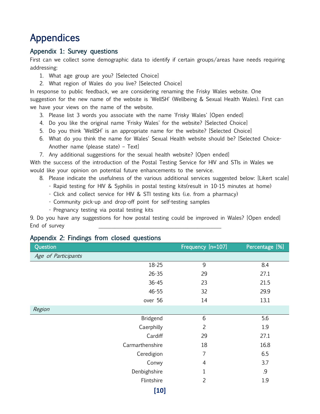## <span id="page-13-0"></span>Appendices

#### <span id="page-13-1"></span>Appendix 1: Survey questions

First can we collect some demographic data to identify if certain groups/areas have needs requiring addressing:

- 1. What age group are you? [Selected Choice]
- 2. What region of Wales do you live? [Selected Choice]

In response to public feedback, we are considering renaming the Frisky Wales website. One suggestion for the new name of the website is 'WellSH' (Wellbeing & Sexual Health Wales). First can we have your views on the name of the website.

- 3. Please list 3 words you associate with the name 'Frisky Wales' [Open ended]
- 4. Do you like the original name 'Frisky Wales' for the website? [Selected Choice]
- 5. Do you think 'WellSH' is an appropriate name for the website? [Selected Choice]
- 6. What do you think the name for Wales' Sexual Health website should be? [Selected Choice-Another name (please state) – Text]
- 7. Any additional suggestions for the sexual health website? [Open ended]

With the success of the introduction of the Postal Testing Service for HIV and STIs in Wales we would like your opinion on potential future enhancements to the service.

- 8. Please indicate the usefulness of the various additional services suggested below: [Likert scale]
	- Rapid testing for HIV & Syphilis in postal testing kits(result in 10-15 minutes at home)
	- Click and collect service for HIV & STI testing kits (i.e. from a pharmacy)
	- Community pick-up and drop-off point for self-testing samples
	- Pregnancy testing via postal testing kits

9. Do you have any suggestions for how postal testing could be improved in Wales? [Open ended] End of survey

| . .<br>ັ<br>Question | л.              | Frequency [n=107] | Percentage [%] |
|----------------------|-----------------|-------------------|----------------|
| Age of Participants  |                 |                   |                |
|                      | 18-25           | 9                 | 8.4            |
|                      | $26 - 35$       | 29                | 27.1           |
|                      | $36 - 45$       | 23                | 21.5           |
|                      | $46 - 55$       | 32                | 29.9           |
|                      | over 56         | 14                | 13.1           |
| Region               |                 |                   |                |
|                      | Bridgend        | 6                 | 5.6            |
|                      | Caerphilly      | $\overline{2}$    | 1.9            |
|                      | Cardiff         | 29                | 27.1           |
|                      | Carmarthenshire | 18                | 16.8           |
|                      | Ceredigion      | 7                 | 6.5            |
|                      | Conwy           | $\overline{4}$    | 3.7            |
|                      | Denbighshire    | $\mathbf 1$       | .9             |
|                      | Flintshire      | $\overline{2}$    | 1.9            |
|                      | 1101            |                   |                |

#### <span id="page-13-2"></span>Appendix 2: Findings from closed questions

**[10]**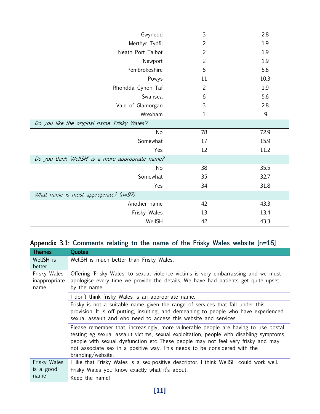| Gwynedd                                           | $\mathfrak{Z}$ | 2.8  |  |
|---------------------------------------------------|----------------|------|--|
| Merthyr Tydfil                                    | $\overline{2}$ | 1.9  |  |
| Neath Port Talbot                                 | $\overline{2}$ | 1.9  |  |
| Newport                                           | $\overline{2}$ | 1.9  |  |
| Pembrokeshire                                     | 6              | 5.6  |  |
| Powys                                             | 11             | 10.3 |  |
| Rhondda Cynon Taf                                 | $\overline{2}$ | 1.9  |  |
| Swansea                                           | 6              | 5.6  |  |
| Vale of Glamorgan                                 | 3              | 2.8  |  |
| Wrexham                                           | 1              | .9   |  |
| Do you like the original name 'Frisky Wales'?     |                |      |  |
| No                                                | 78             | 72.9 |  |
| Somewhat                                          | 17             | 15.9 |  |
| Yes                                               | 12             | 11.2 |  |
| Do you think 'WellSH' is a more appropriate name? |                |      |  |
| No                                                | 38             | 35.5 |  |
| Somewhat                                          | 35             | 32.7 |  |
| Yes                                               | 34             | 31.8 |  |
| What name is most appropriate? (n=97)             |                |      |  |
| Another name                                      | 42             | 43.3 |  |
| Frisky Wales                                      | 13             | 13.4 |  |
| WellSH                                            | 42             | 43.3 |  |

## <span id="page-14-0"></span>Appendix 3.1: Comments relating to the name of the Frisky Wales website [n=16]

| <b>Themes</b>                         | Quotes                                                                                                                                                                                                                                                                                                                                                               |
|---------------------------------------|----------------------------------------------------------------------------------------------------------------------------------------------------------------------------------------------------------------------------------------------------------------------------------------------------------------------------------------------------------------------|
| WellSH is                             | WellSH is much better than Frisky Wales.                                                                                                                                                                                                                                                                                                                             |
| better                                |                                                                                                                                                                                                                                                                                                                                                                      |
| Frisky Wales<br>inappropriate<br>name | Offering 'Frisky Wales' to sexual violence victims is very embarrassing and we must<br>apologise every time we provide the details. We have had patients get quite upset<br>by the name.                                                                                                                                                                             |
|                                       | I don't think frisky Wales is an appropriate name.                                                                                                                                                                                                                                                                                                                   |
|                                       | Frisky is not a suitable name given the range of services that fall under this<br>provision. It is off putting, insulting, and demeaning to people who have experienced<br>sexual assault and who need to access this website and services.                                                                                                                          |
|                                       | Please remember that, increasingly, more vulnerable people are having to use postal<br>testing eg sexual assault victims, sexual exploitation, people with disabling symptoms,<br>people with sexual dysfunction etc These people may not feel very frisky and may<br>not associate sex in a positive way. This needs to be considered with the<br>branding/website. |
| Frisky Wales                          | I like that Frisky Wales is a sex-positive descriptor. I think WellSH could work well.                                                                                                                                                                                                                                                                               |
| is a good                             | Frisky Wales you know exactly what it's about,                                                                                                                                                                                                                                                                                                                       |
| name                                  | Keep the name!                                                                                                                                                                                                                                                                                                                                                       |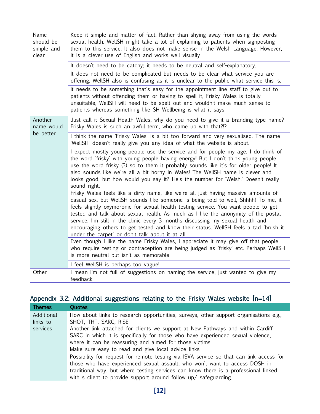| Name<br>should be<br>simple and<br>clear | Keep it simple and matter of fact. Rather than shying away from using the words<br>sexual health. WellSH might take a lot of explaining to patients when signposting<br>them to this service. It also does not make sense in the Welsh Language. However,<br>it is a clever use of English and works well visually                                                                                                                                                                                                                                                                    |
|------------------------------------------|---------------------------------------------------------------------------------------------------------------------------------------------------------------------------------------------------------------------------------------------------------------------------------------------------------------------------------------------------------------------------------------------------------------------------------------------------------------------------------------------------------------------------------------------------------------------------------------|
|                                          | It doesn't need to be catchy; it needs to be neutral and self-explanatory.                                                                                                                                                                                                                                                                                                                                                                                                                                                                                                            |
|                                          | It does not need to be complicated but needs to be clear what service you are<br>offering. WellSH also is confusing as it is unclear to the public what service this is.                                                                                                                                                                                                                                                                                                                                                                                                              |
|                                          | It needs to be something that's easy for the appointment line staff to give out to<br>patients without offending them or having to spell it, Frisky Wales is totally<br>unsuitable, WellSH will need to be spelt out and wouldn't make much sense to<br>patients whereas something like SH Wellbeing is what it says                                                                                                                                                                                                                                                                  |
| Another<br>name would<br>be better       | Just call it Sexual Health Wales, why do you need to give it a branding type name?<br>Frisky Wales is such an awful term, who came up with that?!?                                                                                                                                                                                                                                                                                                                                                                                                                                    |
|                                          | I think the name 'Frisky Wales' is a bit too forward and very sexualised. The name<br>'WellSH' doesn't really give you any idea of what the website is about.                                                                                                                                                                                                                                                                                                                                                                                                                         |
|                                          | I expect mostly young people use the service and for people my age, I do think of<br>the word 'frisky' with young people having energy! But I don't think young people<br>use the word frisky (?) so to them it probably sounds like it's for older people! It<br>also sounds like we're all a bit horny in Wales! The WellSH name is clever and<br>looks good, but how would you say it? He's the number for 'Welsh.' Doesn't really<br>sound right.                                                                                                                                 |
|                                          | Frisky Wales feels like a dirty name, like we're all just having massive amounts of<br>casual sex, but WellSH sounds like someone is being told to well, Shhhh! To me, it<br>feels slightly oxymoronic for sexual health testing service. You want people to get<br>tested and talk about sexual health. As much as I like the anonymity of the postal<br>service, I'm still in the clinic every 3 months discussing my sexual health and<br>encouraging others to get tested and know their status. WellSH feels a tad 'brush it<br>under the carpet' or don't talk about it at all. |
|                                          | Even though I like the name Frisky Wales, I appreciate it may give off that people<br>who require testing or contraception are being judged as 'frisky' etc. Perhaps WellSH<br>is more neutral but isn't as memorable                                                                                                                                                                                                                                                                                                                                                                 |
|                                          | I feel WellSH is perhaps too vague!                                                                                                                                                                                                                                                                                                                                                                                                                                                                                                                                                   |
| Other                                    | I mean I'm not full of suggestions on naming the service, just wanted to give my<br>feedback.                                                                                                                                                                                                                                                                                                                                                                                                                                                                                         |

## <span id="page-15-0"></span>Appendix 3.2: Additional suggestions relating to the Frisky Wales website [n=14]

| <b>Themes</b> | Quotes                                                                                  |
|---------------|-----------------------------------------------------------------------------------------|
| Additional    | How about links to research opportunities, surveys, other support organisations e.g.,   |
| links to      | SHOT, THT, SARC, RISE                                                                   |
| services      | Another link attached for clients we support at New Pathways and within Cardiff         |
|               | SARC in which it is specifically for those who have experienced sexual violence,        |
|               | where it can be reassuring and aimed for those victims                                  |
|               | Make sure easy to read and give local advice links                                      |
|               | Possibility for request for remote testing via ISVA service so that can link access for |
|               | those who have experienced sexual assault, who won't want to access DOSH in             |
|               | traditional way, but where testing services can know there is a professional linked     |
|               | with s client to provide support around follow $up/$ safeguarding.                      |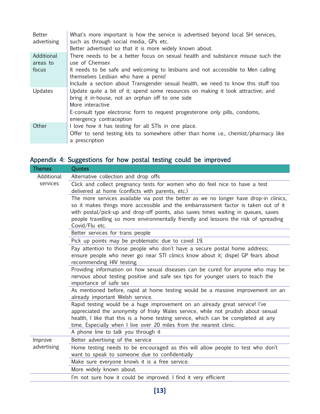| Better<br>advertising  | What's more important is how the service is advertised beyond local SH services,<br>such as through social media, GPs etc.<br>Better advertised so that it is more widely known about. |
|------------------------|----------------------------------------------------------------------------------------------------------------------------------------------------------------------------------------|
| Additional<br>areas to | There needs to be a better focus on sexual health and substance misuse such the<br>use of Chemsex                                                                                      |
| focus                  | It needs to be safe and welcoming to lesbians and not accessible to Men calling<br>themselves Lesbian who have a penis!                                                                |
|                        | Include a section about Transgender sexual health, we need to know this stuff too                                                                                                      |
| Updates                | Update quite a bit of it; spend some resources on making it look attractive; and<br>bring it in-house, not an orphan off to one side<br>More interactive                               |
|                        | E-consult type electronic form to request progesterone only pills, condoms,<br>emergency contraception                                                                                 |
| Other                  | I love how it has testing for all STIs in one place.                                                                                                                                   |
|                        | Offer to send testing kits to somewhere other than home i.e., chemist/pharmacy like<br>a prescription                                                                                  |

## <span id="page-16-0"></span>Appendix 4: Suggestions for how postal testing could be improved

| <b>Themes</b> | Quotes                                                                                                    |
|---------------|-----------------------------------------------------------------------------------------------------------|
| Additional    | Alternative collection and drop offs                                                                      |
| services      | Click and collect pregnancy tests for women who do feel nice to have a test                               |
|               | delivered at home (conflicts with parents, etc.)                                                          |
|               | The more services available via post the better as we no longer have drop-in clinics,                     |
|               | so it makes things more accessible and the embarrassment factor is taken out of it                        |
|               | with postal/pick-up and drop-off points, also saves times waiting in queues, saves                        |
|               | people travelling so more environmentally friendly and lessons the risk of spreading<br>Covid/Flu etc.    |
|               | Better services for trans people                                                                          |
|               | Pick up points may be problematic due to covid 19.                                                        |
|               | Pay attention to those people who don't have a secure postal home address;                                |
|               | ensure people who never go near STI clinics know about it; dispel GP fears about                          |
|               | recommending HIV testing.                                                                                 |
|               | Providing information on how sexual diseases can be cured for anyone who may be                           |
|               | nervous about testing positive and safe sex tips for younger users to teach the<br>importance of safe sex |
|               | As mentioned before, rapid at home testing would be a massive improvement on an                           |
|               | already important Welsh service.                                                                          |
|               | Rapid testing would be a huge improvement on an already great service! I've                               |
|               | appreciated the anonymity of frisky Wales service, while not prudish about sexual                         |
|               | health, I like that this is a home testing service, which can be completed at any                         |
|               | time. Especially when I live over 20 miles from the nearest clinic.                                       |
|               | A phone line to talk you through it                                                                       |
| Improve       | Better advertising of the service                                                                         |
| advertising   | Home testing needs to be encouraged as this will allow people to test who don't                           |
|               | want to speak to someone due to confidentially                                                            |
|               | Make sure everyone knows it is a free service.                                                            |
|               | More widely known about.                                                                                  |
|               | I'm not sure how it could be improved. I find it very efficient                                           |